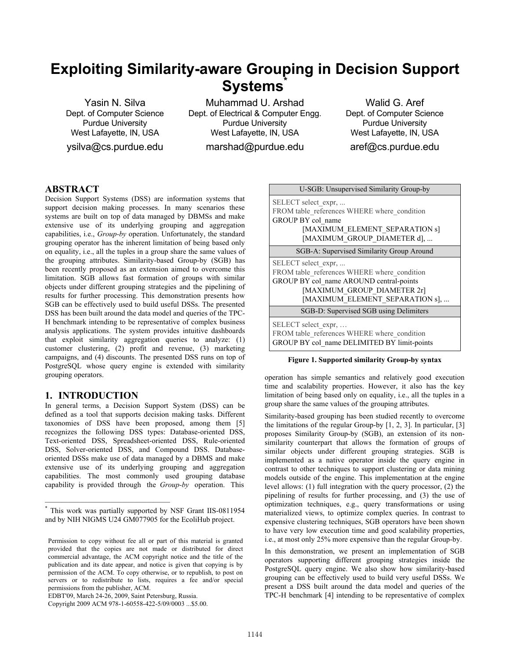# **Exploiting Similarity-aware Grouping in Decision Support Systems\***

Yasin N. Silva Dept. of Computer Science Purdue University West Lafayette, IN, USA ysilva@cs.purdue.edu

Muhammad U. Arshad Dept. of Electrical & Computer Engg. Purdue University West Lafayette, IN, USA marshad@purdue.edu

Walid G. Aref Dept. of Computer Science Purdue University West Lafayette, IN, USA aref@cs.purdue.edu

## **ABSTRACT**

Decision Support Systems (DSS) are information systems that support decision making processes. In many scenarios these systems are built on top of data managed by DBMSs and make extensive use of its underlying grouping and aggregation capabilities, i.e., *Group-by* operation. Unfortunately, the standard grouping operator has the inherent limitation of being based only on equality, i.e., all the tuples in a group share the same values of the grouping attributes. Similarity-based Group-by (SGB) has been recently proposed as an extension aimed to overcome this limitation. SGB allows fast formation of groups with similar objects under different grouping strategies and the pipelining of results for further processing. This demonstration presents how SGB can be effectively used to build useful DSSs. The presented DSS has been built around the data model and queries of the TPC-H benchmark intending to be representative of complex business analysis applications. The system provides intuitive dashboards that exploit similarity aggregation queries to analyze: (1) customer clustering, (2) profit and revenue, (3) marketing campaigns, and (4) discounts. The presented DSS runs on top of PostgreSQL whose query engine is extended with similarity grouping operators.

## **1. INTRODUCTION**

In general terms, a Decision Support System (DSS) can be defined as a tool that supports decision making tasks. Different taxonomies of DSS have been proposed, among them [5] recognizes the following DSS types: Database-oriented DSS, Text-oriented DSS, Spreadsheet-oriented DSS, Rule-oriented DSS, Solver-oriented DSS, and Compound DSS. Databaseoriented DSSs make use of data managed by a DBMS and make extensive use of its underlying grouping and aggregation capabilities. The most commonly used grouping database capability is provided through the *Group-by* operation. This

EDBT'09, March 24-26, 2009, Saint Petersburg, Russia.

———————————————

| U-SGB: Unsupervised Similarity Group-by     |  |
|---------------------------------------------|--|
| SELECT select expr,                         |  |
| FROM table references WHERE where condition |  |
| GROUP BY col name                           |  |
| [MAXIMUM ELEMENT SEPARATION s]              |  |
| [MAXIMUM GROUP DIAMETER d],                 |  |
| SGB-A: Supervised Similarity Group Around   |  |
| SELECT select expr,                         |  |
| FROM table references WHERE where condition |  |
| GROUP BY col name AROUND central-points     |  |
| [MAXIMUM GROUP DIAMETER 2r]                 |  |
| [MAXIMUM ELEMENT SEPARATION s],             |  |
| SGB-D: Supervised SGB using Delimiters      |  |
| SELECT select_expr,                         |  |
| FROM table references WHERE where condition |  |
| GROUP BY col name DELIMITED BY limit-points |  |

#### **Figure 1. Supported similarity Group-by syntax**

operation has simple semantics and relatively good execution time and scalability properties. However, it also has the key limitation of being based only on equality, i.e., all the tuples in a group share the same values of the grouping attributes.

Similarity-based grouping has been studied recently to overcome the limitations of the regular Group-by [1, 2, 3]. In particular, [3] proposes Similarity Group-by (SGB), an extension of its nonsimilarity counterpart that allows the formation of groups of similar objects under different grouping strategies. SGB is implemented as a native operator inside the query engine in contrast to other techniques to support clustering or data mining models outside of the engine. This implementation at the engine level allows: (1) full integration with the query processor, (2) the pipelining of results for further processing, and (3) the use of optimization techniques, e.g., query transformations or using materialized views, to optimize complex queries. In contrast to expensive clustering techniques, SGB operators have been shown to have very low execution time and good scalability properties, i.e., at most only 25% more expensive than the regular Group-by.

In this demonstration, we present an implementation of SGB operators supporting different grouping strategies inside the PostgreSQL query engine. We also show how similarity-based grouping can be effectively used to build very useful DSSs. We present a DSS built around the data model and queries of the TPC-H benchmark [4] intending to be representative of complex

<sup>\*</sup> This work was partially supported by NSF Grant IIS-0811954 and by NIH NIGMS U24 GM077905 for the EcoliHub project.

Permission to copy without fee all or part of this material is granted provided that the copies are not made or distributed for direct commercial advantage, the ACM copyright notice and the title of the publication and its date appear, and notice is given that copying is by permission of the ACM. To copy otherwise, or to republish, to post on servers or to redistribute to lists, requires a fee and/or special permissions from the publisher, ACM.

Copyright 2009 ACM 978-1-60558-422-5/09/0003 ...\$5.00.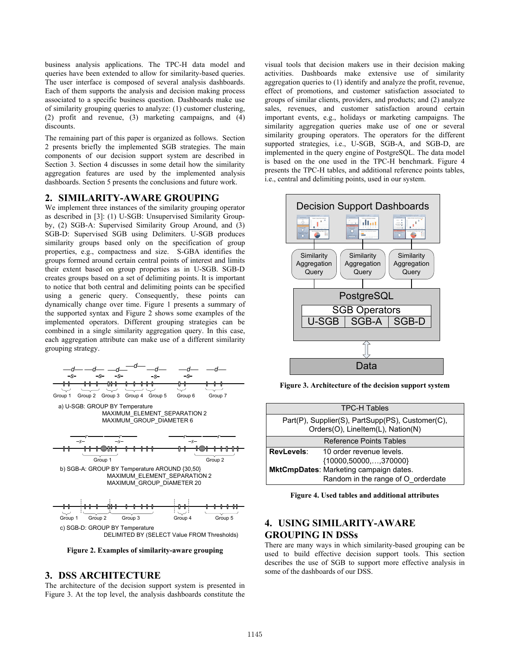business analysis applications. The TPC-H data model and queries have been extended to allow for similarity-based queries. The user interface is composed of several analysis dashboards. Each of them supports the analysis and decision making process associated to a specific business question. Dashboards make use of similarity grouping queries to analyze: (1) customer clustering, (2) profit and revenue, (3) marketing campaigns, and (4) discounts.

The remaining part of this paper is organized as follows. Section 2 presents briefly the implemented SGB strategies. The main components of our decision support system are described in Section 3. Section 4 discusses in some detail how the similarity aggregation features are used by the implemented analysis dashboards. Section 5 presents the conclusions and future work.

#### **2. SIMILARITY-AWARE GROUPING**

We implement three instances of the similarity grouping operator as described in [3]: (1) U-SGB: Unsupervised Similarity Groupby, (2) SGB-A: Supervised Similarity Group Around, and (3) SGB-D: Supervised SGB using Delimiters. U-SGB produces similarity groups based only on the specification of group properties, e.g., compactness and size. S-GBA identifies the groups formed around certain central points of interest and limits their extent based on group properties as in U-SGB. SGB-D creates groups based on a set of delimiting points. It is important to notice that both central and delimiting points can be specified using a generic query. Consequently, these points can dynamically change over time. Figure 1 presents a summary of the supported syntax and Figure 2 shows some examples of the implemented operators. Different grouping strategies can be combined in a single similarity aggregation query. In this case, each aggregation attribute can make use of a different similarity grouping strategy.



**Figure 2. Examples of similarity-aware grouping** 

#### **3. DSS ARCHITECTURE**

The architecture of the decision support system is presented in Figure 3. At the top level, the analysis dashboards constitute the

visual tools that decision makers use in their decision making activities. Dashboards make extensive use of similarity aggregation queries to (1) identify and analyze the profit, revenue, effect of promotions, and customer satisfaction associated to groups of similar clients, providers, and products; and (2) analyze sales, revenues, and customer satisfaction around certain important events, e.g., holidays or marketing campaigns. The similarity aggregation queries make use of one or several similarity grouping operators. The operators for the different supported strategies, i.e., U-SGB, SGB-A, and SGB-D, are implemented in the query engine of PostgreSQL. The data model is based on the one used in the TPC-H benchmark. Figure 4 presents the TPC-H tables, and additional reference points tables, i.e., central and delimiting points, used in our system.



**Figure 3. Architecture of the decision support system** 

| <b>TPC-H Tables</b>                                                                   |                                    |  |
|---------------------------------------------------------------------------------------|------------------------------------|--|
| Part(P), Supplier(S), PartSupp(PS), Customer(C),<br>Orders(O), LineItem(L), Nation(N) |                                    |  |
|                                                                                       | Reference Points Tables            |  |
| RevLevels:                                                                            | 10 order revenue levels.           |  |
|                                                                                       | ${10000,50000,,370000}$            |  |
| MktCmpDates: Marketing campaign dates.                                                |                                    |  |
|                                                                                       | Random in the range of O orderdate |  |

**Figure 4. Used tables and additional attributes** 

# **4. USING SIMILARITY-AWARE GROUPING IN DSSs**

There are many ways in which similarity-based grouping can be used to build effective decision support tools. This section describes the use of SGB to support more effective analysis in some of the dashboards of our DSS.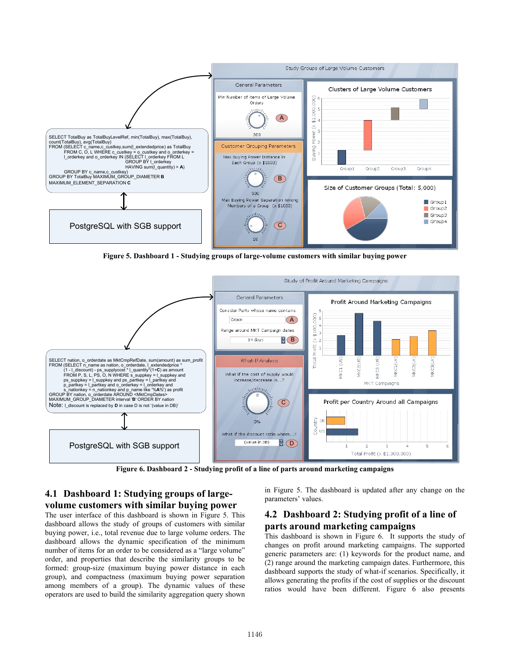

**Figure 5. Dashboard 1 - Studying groups of large-volume customers with similar buying power**



**Figure 6. Dashboard 2 - Studying profit of a line of parts around marketing campaigns** 

# **4.1 Dashboard 1: Studying groups of largevolume customers with similar buying power**

The user interface of this dashboard is shown in Figure 5. This dashboard allows the study of groups of customers with similar buying power, i.e., total revenue due to large volume orders. The dashboard allows the dynamic specification of the minimum number of items for an order to be considered as a "large volume" order, and properties that describe the similarity groups to be formed: group-size (maximum buying power distance in each group), and compactness (maximum buying power separation among members of a group). The dynamic values of these operators are used to build the similarity aggregation query shown

in Figure 5. The dashboard is updated after any change on the parameters' values.

# **4.2 Dashboard 2: Studying profit of a line of parts around marketing campaigns**

This dashboard is shown in Figure 6. It supports the study of changes on profit around marketing campaigns. The supported generic parameters are: (1) keywords for the product name, and (2) range around the marketing campaign dates. Furthermore, this dashboard supports the study of what-if scenarios. Specifically, it allows generating the profits if the cost of supplies or the discount ratios would have been different. Figure 6 also presents